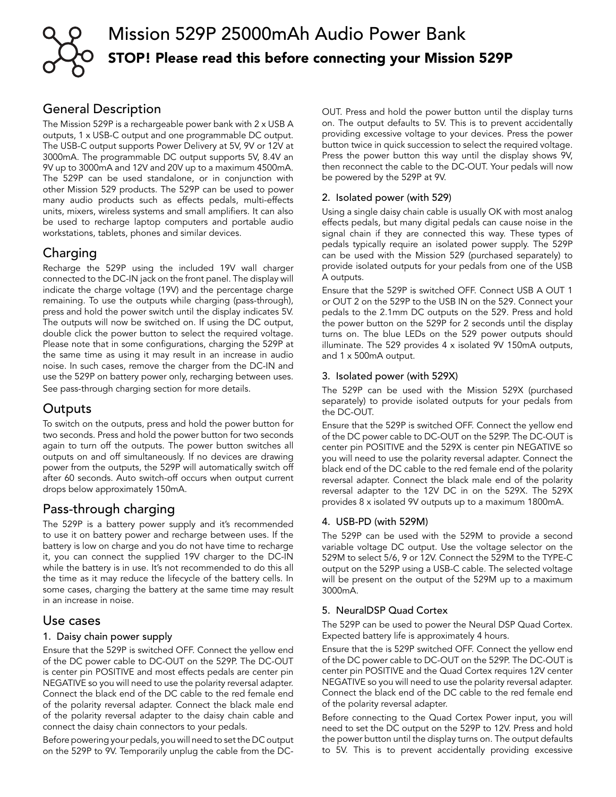

# Mission 529P 25000mAh Audio Power Bank STOP! Please read this before connecting your Mission 529P

# General Description

The Mission 529P is a rechargeable power bank with 2 x USB A outputs, 1 x USB-C output and one programmable DC output. The USB-C output supports Power Delivery at 5V, 9V or 12V at 3000mA. The programmable DC output supports 5V, 8.4V an 9V up to 3000mA and 12V and 20V up to a maximum 4500mA. The 529P can be used standalone, or in conjunction with other Mission 529 products. The 529P can be used to power many audio products such as effects pedals, multi-effects units, mixers, wireless systems and small amplifiers. It can also be used to recharge laptop computers and portable audio workstations, tablets, phones and similar devices.

# Charging

Recharge the 529P using the included 19V wall charger connected to the DC-IN jack on the front panel. The display will indicate the charge voltage (19V) and the percentage charge remaining. To use the outputs while charging (pass-through), press and hold the power switch until the display indicates 5V. The outputs will now be switched on. If using the DC output, double click the power button to select the required voltage. Please note that in some configurations, charging the 529P at the same time as using it may result in an increase in audio noise. In such cases, remove the charger from the DC-IN and use the 529P on battery power only, recharging between uses. See pass-through charging section for more details.

# **Outputs**

To switch on the outputs, press and hold the power button for two seconds. Press and hold the power button for two seconds again to turn off the outputs. The power button switches all outputs on and off simultaneously. If no devices are drawing power from the outputs, the 529P will automatically switch off after 60 seconds. Auto switch-off occurs when output current drops below approximately 150mA.

# Pass-through charging

The 529P is a battery power supply and it's recommended to use it on battery power and recharge between uses. If the battery is low on charge and you do not have time to recharge it, you can connect the supplied 19V charger to the DC-IN while the battery is in use. It's not recommended to do this all the time as it may reduce the lifecycle of the battery cells. In some cases, charging the battery at the same time may result in an increase in noise.

### Use cases

### 1. Daisy chain power supply

Ensure that the 529P is switched OFF. Connect the yellow end of the DC power cable to DC-OUT on the 529P. The DC-OUT is center pin POSITIVE and most effects pedals are center pin NEGATIVE so you will need to use the polarity reversal adapter. Connect the black end of the DC cable to the red female end of the polarity reversal adapter. Connect the black male end of the polarity reversal adapter to the daisy chain cable and connect the daisy chain connectors to your pedals.

Before powering your pedals, you will need to set the DC output on the 529P to 9V. Temporarily unplug the cable from the DC-

OUT. Press and hold the power button until the display turns on. The output defaults to 5V. This is to prevent accidentally providing excessive voltage to your devices. Press the power button twice in quick succession to select the required voltage. Press the power button this way until the display shows 9V, then reconnect the cable to the DC-OUT. Your pedals will now be powered by the 529P at 9V.

### 2. Isolated power (with 529)

Using a single daisy chain cable is usually OK with most analog effects pedals, but many digital pedals can cause noise in the signal chain if they are connected this way. These types of pedals typically require an isolated power supply. The 529P can be used with the Mission 529 (purchased separately) to provide isolated outputs for your pedals from one of the USB A outputs.

Ensure that the 529P is switched OFF. Connect USB A OUT 1 or OUT 2 on the 529P to the USB IN on the 529. Connect your pedals to the 2.1mm DC outputs on the 529. Press and hold the power button on the 529P for 2 seconds until the display turns on. The blue LEDs on the 529 power outputs should illuminate. The 529 provides 4 x isolated 9V 150mA outputs, and 1 x 500mA output.

### 3. Isolated power (with 529X)

The 529P can be used with the Mission 529X (purchased separately) to provide isolated outputs for your pedals from the DC-OUT.

Ensure that the 529P is switched OFF. Connect the yellow end of the DC power cable to DC-OUT on the 529P. The DC-OUT is center pin POSITIVE and the 529X is center pin NEGATIVE so you will need to use the polarity reversal adapter. Connect the black end of the DC cable to the red female end of the polarity reversal adapter. Connect the black male end of the polarity reversal adapter to the 12V DC in on the 529X. The 529X provides 8 x isolated 9V outputs up to a maximum 1800mA.

### 4. USB-PD (with 529M)

The 529P can be used with the 529M to provide a second variable voltage DC output. Use the voltage selector on the 529M to select 5/6, 9 or 12V. Connect the 529M to the TYPE-C output on the 529P using a USB-C cable. The selected voltage will be present on the output of the 529M up to a maximum 3000mA.

### 5. NeuralDSP Quad Cortex

The 529P can be used to power the Neural DSP Quad Cortex. Expected battery life is approximately 4 hours.

Ensure that the is 529P switched OFF. Connect the yellow end of the DC power cable to DC-OUT on the 529P. The DC-OUT is center pin POSITIVE and the Quad Cortex requires 12V center NEGATIVE so you will need to use the polarity reversal adapter. Connect the black end of the DC cable to the red female end of the polarity reversal adapter.

Before connecting to the Quad Cortex Power input, you will need to set the DC output on the 529P to 12V. Press and hold the power button until the display turns on. The output defaults to 5V. This is to prevent accidentally providing excessive